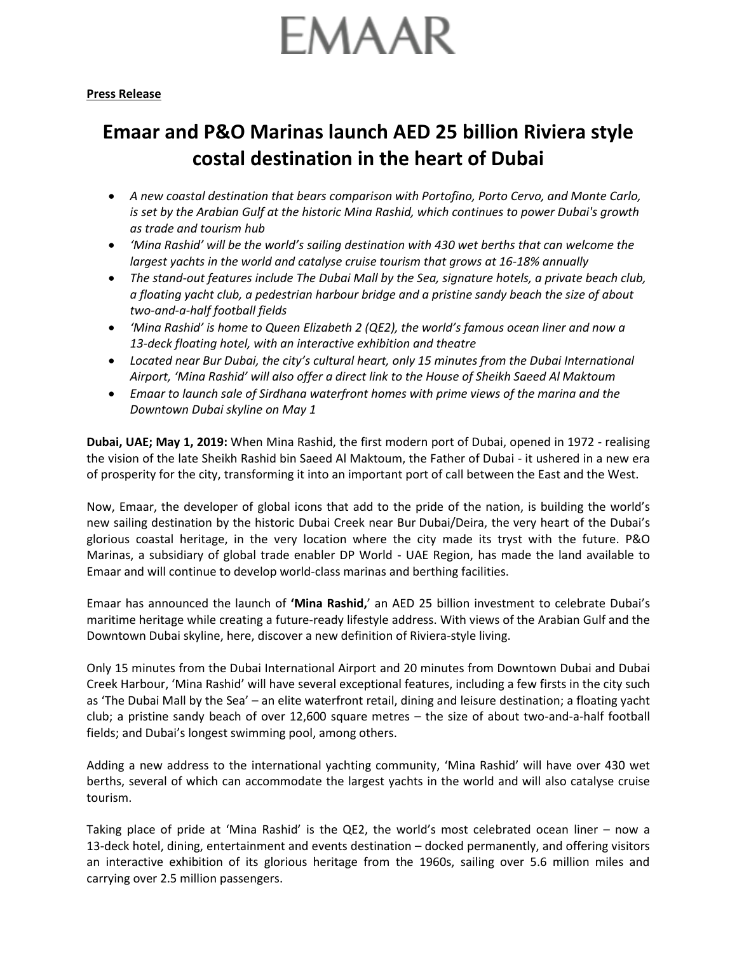## **EMAAR**

## **Emaar and P&O Marinas launch AED 25 billion Riviera style costal destination in the heart of Dubai**

- *A new coastal destination that bears comparison with Portofino, Porto Cervo, and Monte Carlo, is set by the Arabian Gulf at the historic Mina Rashid, which continues to power Dubai's growth as trade and tourism hub*
- *'Mina Rashid' will be the world's sailing destination with 430 wet berths that can welcome the largest yachts in the world and catalyse cruise tourism that grows at 16-18% annually*
- *The stand-out features include The Dubai Mall by the Sea, signature hotels, a private beach club, a floating yacht club, a pedestrian harbour bridge and a pristine sandy beach the size of about two-and-a-half football fields*
- *'Mina Rashid' is home to Queen Elizabeth 2 (QE2), the world's famous ocean liner and now a 13-deck floating hotel, with an interactive exhibition and theatre*
- *Located near Bur Dubai, the city's cultural heart, only 15 minutes from the Dubai International Airport, 'Mina Rashid' will also offer a direct link to the House of Sheikh Saeed Al Maktoum*
- *Emaar to launch sale of Sirdhana waterfront homes with prime views of the marina and the Downtown Dubai skyline on May 1*

**Dubai, UAE; May 1, 2019:** When Mina Rashid, the first modern port of Dubai, opened in 1972 - realising the vision of the late Sheikh Rashid bin Saeed Al Maktoum, the Father of Dubai - it ushered in a new era of prosperity for the city, transforming it into an important port of call between the East and the West.

Now, Emaar, the developer of global icons that add to the pride of the nation, is building the world's new sailing destination by the historic Dubai Creek near Bur Dubai/Deira, the very heart of the Dubai's glorious coastal heritage, in the very location where the city made its tryst with the future. P&O Marinas, a subsidiary of global trade enabler DP World - UAE Region, has made the land available to Emaar and will continue to develop world-class marinas and berthing facilities.

Emaar has announced the launch of **'Mina Rashid,**' an AED 25 billion investment to celebrate Dubai's maritime heritage while creating a future-ready lifestyle address. With views of the Arabian Gulf and the Downtown Dubai skyline, here, discover a new definition of Riviera-style living.

Only 15 minutes from the Dubai International Airport and 20 minutes from Downtown Dubai and Dubai Creek Harbour, 'Mina Rashid' will have several exceptional features, including a few firsts in the city such as 'The Dubai Mall by the Sea' – an elite waterfront retail, dining and leisure destination; a floating yacht club; a pristine sandy beach of over 12,600 square metres – the size of about two-and-a-half football fields; and Dubai's longest swimming pool, among others.

Adding a new address to the international yachting community, 'Mina Rashid' will have over 430 wet berths, several of which can accommodate the largest yachts in the world and will also catalyse cruise tourism.

Taking place of pride at 'Mina Rashid' is the QE2, the world's most celebrated ocean liner – now a 13-deck hotel, dining, entertainment and events destination – docked permanently, and offering visitors an interactive exhibition of its glorious heritage from the 1960s, sailing over 5.6 million miles and carrying over 2.5 million passengers.